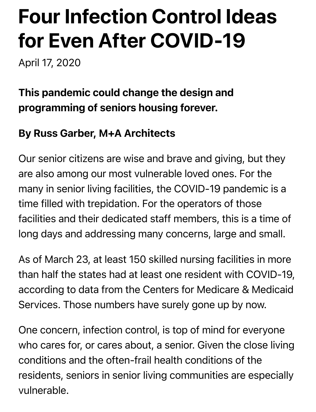# Four Infection Control Ideas for Even After COVID-19

April 17, 2020

# This pandemic could change the design and programming of seniors housing forever.

### By Russ Garber, M+A Architects

Our senior citizens are wise and brave and giving, but they are also among our most vulnerable loved ones. For the many in senior living facilities, the COVID-19 pandemic is a time filled with trepidation. For the operators of those facilities and their dedicated staff members, this is a time of long days and addressing many concerns, large and small.

As of March 23, at least 150 skilled nursing facilities in more than half the states had at least one resident with COVID-19, according to data from the Centers for Medicare & Medicaid Services. Those numbers have surely gone up by now.

One concern, infection control, is top of mind for everyone who cares for, or cares about, a senior. Given the close living conditions and the often-frail health conditions of the residents, seniors in senior living communities are especially vulnerable.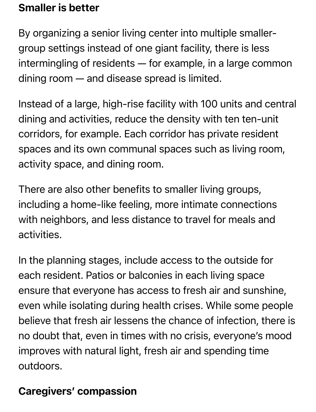#### Smaller is better

By organizing a senior living center into multiple smallergroup settings instead of one giant facility, there is less intermingling of residents — for example, in a large common dining room — and disease spread is limited.

Instead of a large, high-rise facility with 100 units and central dining and activities, reduce the density with ten ten-unit corridors, for example. Each corridor has private resident spaces and its own communal spaces such as living room, activity space, and dining room.

There are also other benefits to smaller living groups, including a home-like feeling, more intimate connections with neighbors, and less distance to travel for meals and activities.

In the planning stages, include access to the outside for each resident. Patios or balconies in each living space ensure that everyone has access to fresh air and sunshine, even while isolating during health crises. While some people believe that fresh air lessens the chance of infection, there is no doubt that, even in times with no crisis, everyone's mood improves with natural light, fresh air and spending time outdoors.

## Caregivers' compassion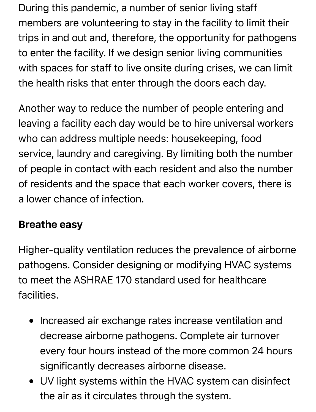During this pandemic, a number of senior living staff members are volunteering to stay in the facility to limit their trips in and out and, therefore, the opportunity for pathogens to enter the facility. If we design senior living communities with spaces for staff to live onsite during crises, we can limit the health risks that enter through the doors each day.

Another way to reduce the number of people entering and leaving a facility each day would be to hire universal workers who can address multiple needs: housekeeping, food service, laundry and caregiving. By limiting both the number of people in contact with each resident and also the number of residents and the space that each worker covers, there is a lower chance of infection.

#### Breathe easy

Higher-quality ventilation reduces the prevalence of airborne pathogens. Consider designing or modifying HVAC systems to meet the ASHRAE 170 standard used for healthcare facilities.

- Increased air exchange rates increase ventilation and decrease airborne pathogens. Complete air turnover every four hours instead of the more common 24 hours significantly decreases airborne disease.
- UV light systems within the HVAC system can disinfect the air as it circulates through the system.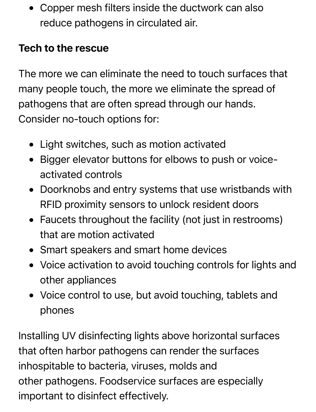Copper mesh filters inside the ductwork can also reduce pathogens in circulated air.

#### Tech to the rescue

The more we can eliminate the need to touch surfaces that many people touch, the more we eliminate the spread of pathogens that are often spread through our hands. Consider no-touch options for:

- Light switches, such as motion activated
- Bigger elevator buttons for elbows to push or voiceactivated controls
- Doorknobs and entry systems that use wristbands with RFID proximity sensors to unlock resident doors
- Faucets throughout the facility (not just in restrooms) that are motion activated
- Smart speakers and smart home devices
- Voice activation to avoid touching controls for lights and other appliances
- Voice control to use, but avoid touching, tablets and phones

Installing UV disinfecting lights above horizontal surfaces that often harbor pathogens can render the surfaces inhospitable to bacteria, viruses, molds and other pathogens. Foodservice surfaces are especially important to disinfect effectively.